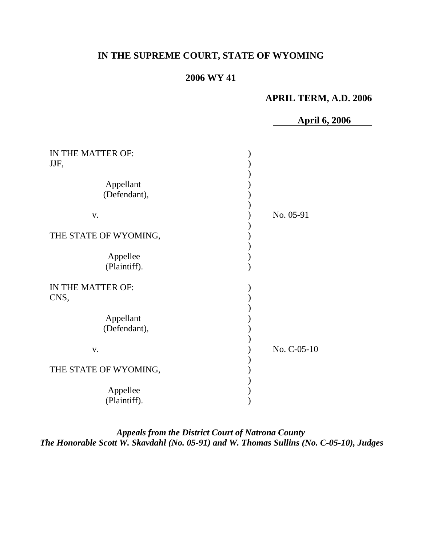# **IN THE SUPREME COURT, STATE OF WYOMING**

# **2006 WY 41**

## **APRIL TERM, A.D. 2006**

**April 6, 2006** 

| IN THE MATTER OF:<br>JJF,                              |             |
|--------------------------------------------------------|-------------|
| Appellant<br>(Defendant),                              |             |
| V.                                                     | No. 05-91   |
| THE STATE OF WYOMING,<br>Appellee<br>(Plaintiff).      |             |
| IN THE MATTER OF:<br>CNS,<br>Appellant<br>(Defendant), |             |
| V.                                                     | No. C-05-10 |
| THE STATE OF WYOMING,                                  |             |
| Appellee<br>(Plaintiff).                               |             |

*Appeals from the District Court of Natrona County The Honorable Scott W. Skavdahl (No. 05-91) and W. Thomas Sullins (No. C-05-10), Judges*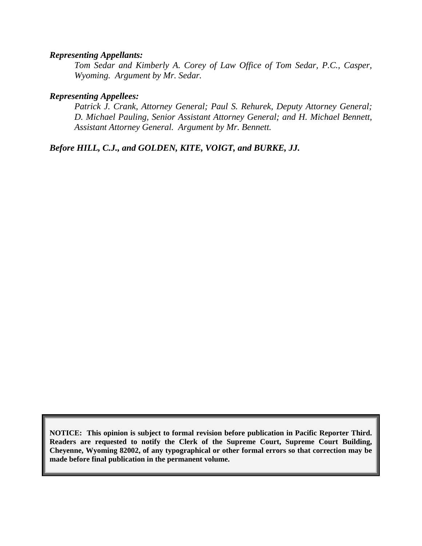#### *Representing Appellants:*

*Tom Sedar and Kimberly A. Corey of Law Office of Tom Sedar, P.C., Casper, Wyoming. Argument by Mr. Sedar.* 

#### *Representing Appellees:*

*Patrick J. Crank, Attorney General; Paul S. Rehurek, Deputy Attorney General; D. Michael Pauling, Senior Assistant Attorney General; and H. Michael Bennett, Assistant Attorney General. Argument by Mr. Bennett.* 

*Before HILL, C.J., and GOLDEN, KITE, VOIGT, and BURKE, JJ.* 

**NOTICE: This opinion is subject to formal revision before publication in Pacific Reporter Third. Readers are requested to notify the Clerk of the Supreme Court, Supreme Court Building, Cheyenne, Wyoming 82002, of any typographical or other formal errors so that correction may be made before final publication in the permanent volume.**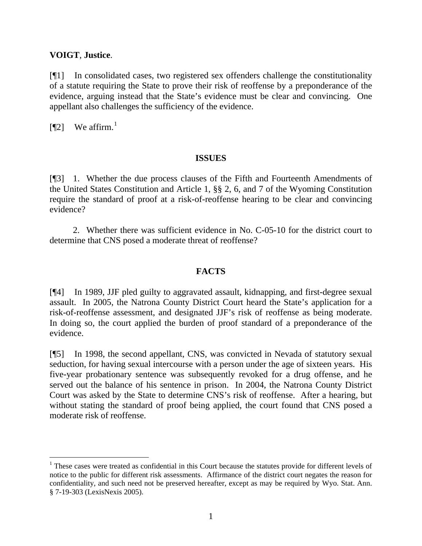#### **VOIGT**, **Justice**.

[¶1] In consolidated cases, two registered sex offenders challenge the constitutionality of a statute requiring the State to prove their risk of reoffense by a preponderance of the evidence, arguing instead that the State's evidence must be clear and convincing. One appellant also challenges the sufficiency of the evidence.

 $[$ ¶2] We affirm.<sup>[1](#page-2-0)</sup>

#### **ISSUES**

[¶3] 1. Whether the due process clauses of the Fifth and Fourteenth Amendments of the United States Constitution and Article 1, §§ 2, 6, and 7 of the Wyoming Constitution require the standard of proof at a risk-of-reoffense hearing to be clear and convincing evidence?

 2. Whether there was sufficient evidence in No. C-05-10 for the district court to determine that CNS posed a moderate threat of reoffense?

### **FACTS**

[¶4] In 1989, JJF pled guilty to aggravated assault, kidnapping, and first-degree sexual assault. In 2005, the Natrona County District Court heard the State's application for a risk-of-reoffense assessment, and designated JJF's risk of reoffense as being moderate. In doing so, the court applied the burden of proof standard of a preponderance of the evidence.

[¶5] In 1998, the second appellant, CNS, was convicted in Nevada of statutory sexual seduction, for having sexual intercourse with a person under the age of sixteen years. His five-year probationary sentence was subsequently revoked for a drug offense, and he served out the balance of his sentence in prison. In 2004, the Natrona County District Court was asked by the State to determine CNS's risk of reoffense. After a hearing, but without stating the standard of proof being applied, the court found that CNS posed a moderate risk of reoffense.

<span id="page-2-0"></span><sup>&</sup>lt;sup>1</sup> These cases were treated as confidential in this Court because the statutes provide for different levels of notice to the public for different risk assessments. Affirmance of the district court negates the reason for confidentiality, and such need not be preserved hereafter, except as may be required by Wyo. Stat. Ann. § 7-19-303 (LexisNexis 2005).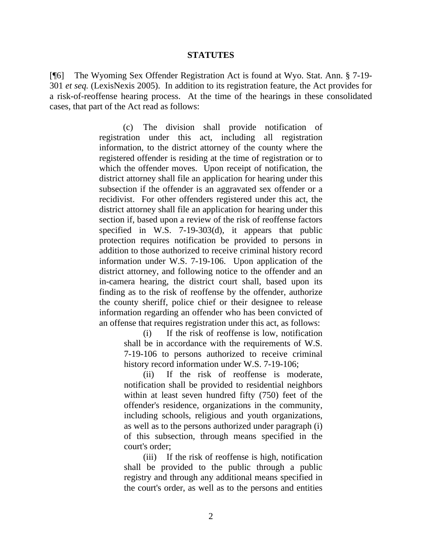#### **STATUTES**

[¶6] The Wyoming Sex Offender Registration Act is found at Wyo. Stat. Ann. § 7-19- 301 *et seq.* (LexisNexis 2005). In addition to its registration feature, the Act provides for a risk-of-reoffense hearing process. At the time of the hearings in these consolidated cases, that part of the Act read as follows:

> (c) The division shall provide notification of registration under this act, including all registration information, to the district attorney of the county where the registered offender is residing at the time of registration or to which the offender moves. Upon receipt of notification, the district attorney shall file an application for hearing under this subsection if the offender is an aggravated sex offender or a recidivist. For other offenders registered under this act, the district attorney shall file an application for hearing under this section if, based upon a review of the risk of reoffense factors specified in W.S. 7-19-303(d), it appears that public protection requires notification be provided to persons in addition to those authorized to receive criminal history record information under W.S. 7-19-106. Upon application of the district attorney, and following notice to the offender and an in-camera hearing, the district court shall, based upon its finding as to the risk of reoffense by the offender, authorize the county sheriff, police chief or their designee to release information regarding an offender who has been convicted of an offense that requires registration under this act, as follows:

> > (i) If the risk of reoffense is low, notification shall be in accordance with the requirements of W.S. 7-19-106 to persons authorized to receive criminal history record information under W.S. 7-19-106;

> > (ii) If the risk of reoffense is moderate, notification shall be provided to residential neighbors within at least seven hundred fifty (750) feet of the offender's residence, organizations in the community, including schools, religious and youth organizations, as well as to the persons authorized under paragraph (i) of this subsection, through means specified in the court's order;

> > (iii) If the risk of reoffense is high, notification shall be provided to the public through a public registry and through any additional means specified in the court's order, as well as to the persons and entities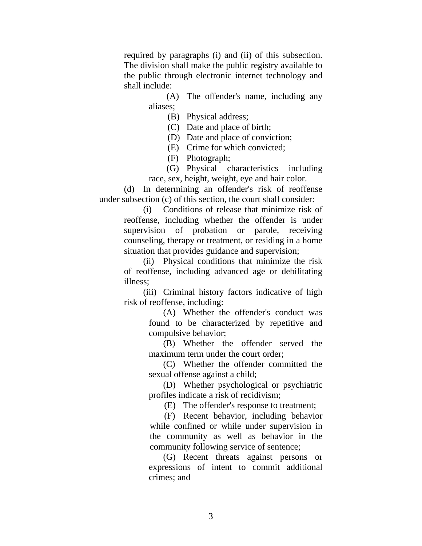required by paragraphs (i) and (ii) of this subsection. The division shall make the public registry available to the public through electronic internet technology and shall include:

> (A) The offender's name, including any aliases;

> > (B) Physical address;

(C) Date and place of birth;

(D) Date and place of conviction;

(E) Crime for which convicted;

(F) Photograph;

(G) Physical characteristics including race, sex, height, weight, eye and hair color.

(d) In determining an offender's risk of reoffense under subsection (c) of this section, the court shall consider:

> (i) Conditions of release that minimize risk of reoffense, including whether the offender is under supervision of probation or parole, receiving counseling, therapy or treatment, or residing in a home situation that provides guidance and supervision;

> (ii) Physical conditions that minimize the risk of reoffense, including advanced age or debilitating illness;

> (iii) Criminal history factors indicative of high risk of reoffense, including:

> > (A) Whether the offender's conduct was found to be characterized by repetitive and compulsive behavior;

> > (B) Whether the offender served the maximum term under the court order;

> > (C) Whether the offender committed the sexual offense against a child;

> > (D) Whether psychological or psychiatric profiles indicate a risk of recidivism;

(E) The offender's response to treatment;

(F) Recent behavior, including behavior while confined or while under supervision in the community as well as behavior in the community following service of sentence;

(G) Recent threats against persons or expressions of intent to commit additional crimes; and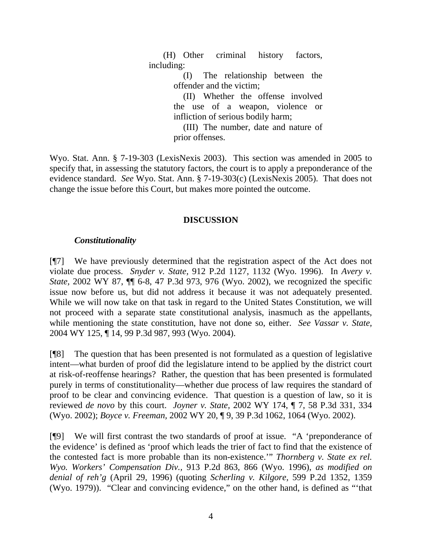(H) Other criminal history factors, including:

> (I) The relationship between the offender and the victim;

> (II) Whether the offense involved the use of a weapon, violence or infliction of serious bodily harm;

> (III) The number, date and nature of prior offenses.

Wyo. Stat. Ann. § 7-19-303 (LexisNexis 2003). This section was amended in 2005 to specify that, in assessing the statutory factors, the court is to apply a preponderance of the evidence standard. *See* Wyo. Stat. Ann. § 7-19-303(c) (LexisNexis 2005). That does not change the issue before this Court, but makes more pointed the outcome.

### **DISCUSSION**

### *Constitutionality*

[¶7] We have previously determined that the registration aspect of the Act does not violate due process. *Snyder v. State,* 912 P.2d 1127, 1132 (Wyo. 1996). In *Avery v. State,* 2002 WY 87, ¶¶ 6-8, 47 P.3d 973, 976 (Wyo. 2002), we recognized the specific issue now before us, but did not address it because it was not adequately presented. While we will now take on that task in regard to the United States Constitution, we will not proceed with a separate state constitutional analysis, inasmuch as the appellants, while mentioning the state constitution, have not done so, either. *See Vassar v. State,*  2004 WY 125, ¶ 14, 99 P.3d 987, 993 (Wyo. 2004).

[¶8] The question that has been presented is not formulated as a question of legislative intent—what burden of proof did the legislature intend to be applied by the district court at risk-of-reoffense hearings? Rather, the question that has been presented is formulated purely in terms of constitutionality—whether due process of law requires the standard of proof to be clear and convincing evidence. That question is a question of law, so it is reviewed *de novo* by this court. *Joyner v. State,* 2002 WY 174, ¶ 7, 58 P.3d 331, 334 (Wyo. 2002); *Boyce v. Freeman,* 2002 WY 20, ¶ 9, 39 P.3d 1062, 1064 (Wyo. 2002).

[¶9] We will first contrast the two standards of proof at issue. "A 'preponderance of the evidence' is defined as 'proof which leads the trier of fact to find that the existence of the contested fact is more probable than its non-existence.'" *Thornberg v. State ex rel. Wyo. Workers' Compensation Div.,* 913 P.2d 863, 866 (Wyo. 1996), *as modified on denial of reh'g* (April 29, 1996) (quoting *Scherling v. Kilgore,* 599 P.2d 1352, 1359 (Wyo. 1979)). "Clear and convincing evidence," on the other hand, is defined as "'that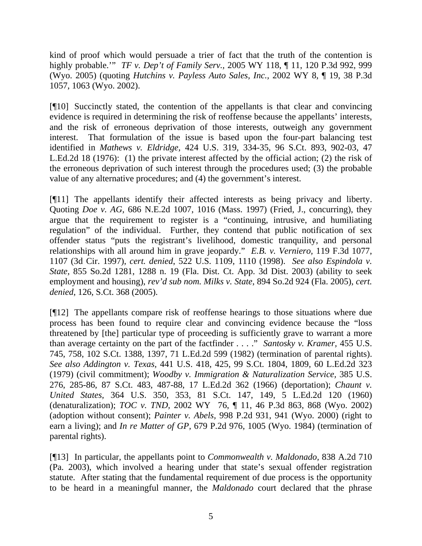kind of proof which would persuade a trier of fact that the truth of the contention is highly probable.'" *TF v. Dep't of Family Serv.,* 2005 WY 118, ¶ 11, 120 P.3d 992, 999 (Wyo. 2005) (quoting *Hutchins v. Payless Auto Sales, Inc.,* 2002 WY 8, ¶ 19, 38 P.3d 1057, 1063 (Wyo. 2002).

[¶10] Succinctly stated, the contention of the appellants is that clear and convincing evidence is required in determining the risk of reoffense because the appellants' interests, and the risk of erroneous deprivation of those interests, outweigh any government interest. That formulation of the issue is based upon the four-part balancing test identified in *Mathews v. Eldridge,* 424 U.S. 319, 334-35, 96 S.Ct. 893, 902-03, 47 L.Ed.2d 18 (1976): (1) the private interest affected by the official action; (2) the risk of the erroneous deprivation of such interest through the procedures used; (3) the probable value of any alternative procedures; and (4) the government's interest.

[¶11] The appellants identify their affected interests as being privacy and liberty. Quoting *Doe v. AG,* 686 N.E.2d 1007, 1016 (Mass. 1997) (Fried, J., concurring), they argue that the requirement to register is a "continuing, intrusive, and humiliating regulation" of the individual. Further, they contend that public notification of sex offender status "puts the registrant's livelihood, domestic tranquility, and personal relationships with all around him in grave jeopardy." *E.B. v. Verniero,* 119 F.3d 1077, 1107 (3d Cir. 1997), *cert. denied*, 522 U.S. 1109, 1110 (1998). *See also Espindola v. State,* 855 So.2d 1281, 1288 n. 19 (Fla. Dist. Ct. App. 3d Dist. 2003) (ability to seek employment and housing), *rev'd sub nom. Milks v. State*, 894 So.2d 924 (Fla. 2005), *cert. denied*, 126, S.Ct. 368 (2005).

[¶12] The appellants compare risk of reoffense hearings to those situations where due process has been found to require clear and convincing evidence because the "loss threatened by [the] particular type of proceeding is sufficiently grave to warrant a more than average certainty on the part of the factfinder . . . ." *Santosky v. Kramer,* 455 U.S. 745, 758, 102 S.Ct. 1388, 1397, 71 L.Ed.2d 599 (1982) (termination of parental rights). *See also Addington v. Texas,* 441 U.S. 418, 425, 99 S.Ct. 1804, 1809, 60 L.Ed.2d 323 (1979) (civil commitment); *Woodby v. Immigration & Naturalization Service,* 385 U.S. 276, 285-86, 87 S.Ct. 483, 487-88, 17 L.Ed.2d 362 (1966) (deportation); *Chaunt v. United States,* 364 U.S. 350, 353, 81 S.Ct. 147, 149, 5 L.Ed.2d 120 (1960) (denaturalization); *TOC v. TND,* 2002 WY 76, ¶ 11, 46 P.3d 863, 868 (Wyo. 2002) (adoption without consent); *Painter v. Abels,* 998 P.2d 931, 941 (Wyo. 2000) (right to earn a living); and *In re Matter of GP,* 679 P.2d 976, 1005 (Wyo. 1984) (termination of parental rights).

[¶13] In particular, the appellants point to *Commonwealth v. Maldonado,* 838 A.2d 710 (Pa. 2003), which involved a hearing under that state's sexual offender registration statute. After stating that the fundamental requirement of due process is the opportunity to be heard in a meaningful manner, the *Maldonado* court declared that the phrase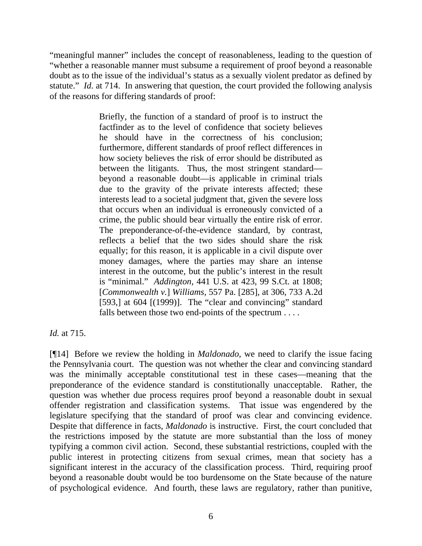"meaningful manner" includes the concept of reasonableness, leading to the question of "whether a reasonable manner must subsume a requirement of proof beyond a reasonable doubt as to the issue of the individual's status as a sexually violent predator as defined by statute." *Id.* at 714. In answering that question, the court provided the following analysis of the reasons for differing standards of proof:

> Briefly, the function of a standard of proof is to instruct the factfinder as to the level of confidence that society believes he should have in the correctness of his conclusion; furthermore, different standards of proof reflect differences in how society believes the risk of error should be distributed as between the litigants. Thus, the most stringent standard beyond a reasonable doubt—is applicable in criminal trials due to the gravity of the private interests affected; these interests lead to a societal judgment that, given the severe loss that occurs when an individual is erroneously convicted of a crime, the public should bear virtually the entire risk of error. The preponderance-of-the-evidence standard, by contrast, reflects a belief that the two sides should share the risk equally; for this reason, it is applicable in a civil dispute over money damages, where the parties may share an intense interest in the outcome, but the public's interest in the result is "minimal." *Addington,* 441 U.S. at 423, 99 S.Ct. at 1808; [*Commonwealth v.*] *Williams,* 557 Pa. [285], at 306, 733 A.2d [593,] at  $604$  [ $(1999)$ ]. The "clear and convincing" standard falls between those two end-points of the spectrum . . . .

*Id.* at 715.

[¶14] Before we review the holding in *Maldonado*, we need to clarify the issue facing the Pennsylvania court. The question was not whether the clear and convincing standard was the minimally acceptable constitutional test in these cases—meaning that the preponderance of the evidence standard is constitutionally unacceptable. Rather, the question was whether due process requires proof beyond a reasonable doubt in sexual offender registration and classification systems. That issue was engendered by the legislature specifying that the standard of proof was clear and convincing evidence. Despite that difference in facts, *Maldonado* is instructive. First, the court concluded that the restrictions imposed by the statute are more substantial than the loss of money typifying a common civil action. Second, these substantial restrictions, coupled with the public interest in protecting citizens from sexual crimes, mean that society has a significant interest in the accuracy of the classification process. Third, requiring proof beyond a reasonable doubt would be too burdensome on the State because of the nature of psychological evidence. And fourth, these laws are regulatory, rather than punitive,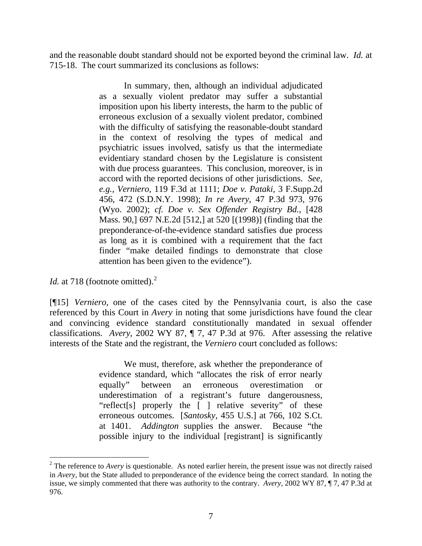and the reasonable doubt standard should not be exported beyond the criminal law. *Id.* at 715-18. The court summarized its conclusions as follows:

> In summary, then, although an individual adjudicated as a sexually violent predator may suffer a substantial imposition upon his liberty interests, the harm to the public of erroneous exclusion of a sexually violent predator, combined with the difficulty of satisfying the reasonable-doubt standard in the context of resolving the types of medical and psychiatric issues involved, satisfy us that the intermediate evidentiary standard chosen by the Legislature is consistent with due process guarantees. This conclusion, moreover, is in accord with the reported decisions of other jurisdictions. *See, e.g., Verniero,* 119 F.3d at 1111; *Doe v. Pataki,* 3 F.Supp.2d 456, 472 (S.D.N.Y. 1998); *In re Avery,* 47 P.3d 973, 976 (Wyo. 2002); *cf. Doe v. Sex Offender Registry Bd.,* [428 Mass. 90,] 697 N.E.2d [512,] at 520 [(1998)] (finding that the preponderance-of-the-evidence standard satisfies due process as long as it is combined with a requirement that the fact finder "make detailed findings to demonstrate that close attention has been given to the evidence").

*Id.* at 718 (footnote omitted).<sup>[2](#page-8-0)</sup>

[¶15] *Verniero,* one of the cases cited by the Pennsylvania court, is also the case referenced by this Court in *Avery* in noting that some jurisdictions have found the clear and convincing evidence standard constitutionally mandated in sexual offender classifications. *Avery,* 2002 WY 87, ¶ 7, 47 P.3d at 976. After assessing the relative interests of the State and the registrant, the *Verniero* court concluded as follows:

> We must, therefore, ask whether the preponderance of evidence standard, which "allocates the risk of error nearly equally" between an erroneous overestimation or underestimation of a registrant's future dangerousness, "reflect[s] properly the [ ] relative severity" of these erroneous outcomes. [*Santosky,* 455 U.S.] at 766, 102 S.Ct. at 1401. *Addington* supplies the answer. Because "the possible injury to the individual [registrant] is significantly

<span id="page-8-0"></span> $2^2$  The reference to *Avery* is questionable. As noted earlier herein, the present issue was not directly raised in *Avery*, but the State alluded to preponderance of the evidence being the correct standard. In noting the issue, we simply commented that there was authority to the contrary. *Avery,* 2002 WY 87, ¶ 7, 47 P.3d at 976.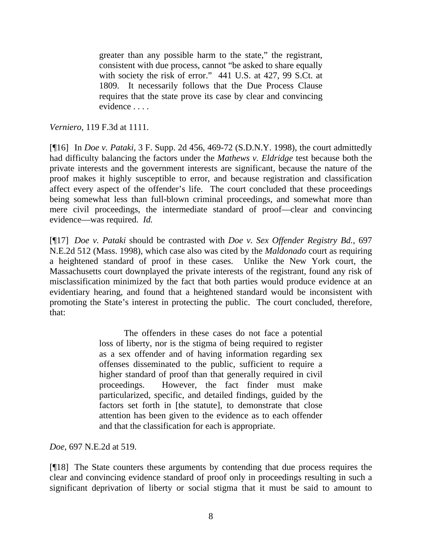greater than any possible harm to the state," the registrant, consistent with due process, cannot "be asked to share equally with society the risk of error." 441 U.S. at 427, 99 S.Ct. at 1809. It necessarily follows that the Due Process Clause requires that the state prove its case by clear and convincing evidence . . . .

*Verniero,* 119 F.3d at 1111.

[¶16] In *Doe v. Pataki,* 3 F. Supp. 2d 456, 469-72 (S.D.N.Y. 1998), the court admittedly had difficulty balancing the factors under the *Mathews v. Eldridge* test because both the private interests and the government interests are significant, because the nature of the proof makes it highly susceptible to error, and because registration and classification affect every aspect of the offender's life. The court concluded that these proceedings being somewhat less than full-blown criminal proceedings, and somewhat more than mere civil proceedings, the intermediate standard of proof—clear and convincing evidence—was required. *Id.* 

[¶17] *Doe v. Pataki* should be contrasted with *Doe v. Sex Offender Registry Bd.,* 697 N.E.2d 512 (Mass. 1998), which case also was cited by the *Maldonado* court as requiring a heightened standard of proof in these cases. Unlike the New York court, the Massachusetts court downplayed the private interests of the registrant, found any risk of misclassification minimized by the fact that both parties would produce evidence at an evidentiary hearing, and found that a heightened standard would be inconsistent with promoting the State's interest in protecting the public. The court concluded, therefore, that:

> The offenders in these cases do not face a potential loss of liberty, nor is the stigma of being required to register as a sex offender and of having information regarding sex offenses disseminated to the public, sufficient to require a higher standard of proof than that generally required in civil proceedings. However, the fact finder must make particularized, specific, and detailed findings, guided by the factors set forth in [the statute], to demonstrate that close attention has been given to the evidence as to each offender and that the classification for each is appropriate.

*Doe,* 697 N.E.2d at 519.

[¶18] The State counters these arguments by contending that due process requires the clear and convincing evidence standard of proof only in proceedings resulting in such a significant deprivation of liberty or social stigma that it must be said to amount to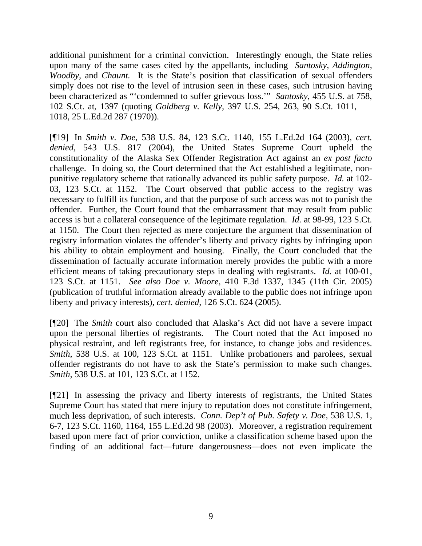additional punishment for a criminal conviction. Interestingly enough, the State relies upon many of the same cases cited by the appellants, including *Santosky, Addington, Woodby,* and *Chaunt.* It is the State's position that classification of sexual offenders simply does not rise to the level of intrusion seen in these cases, such intrusion having been characterized as "'condemned to suffer grievous loss.'" *Santosky,* 455 U.S. at 758, 102 S.Ct. at, 1397 (quoting *Goldberg v. Kelly,* 397 U.S. 254, 263, 90 S.Ct. 1011, 1018, 25 L.Ed.2d 287 (1970)).

[¶19] In *Smith v. Doe,* 538 U.S. 84, 123 S.Ct. 1140, 155 L.Ed.2d 164 (2003), *cert. denied,* 543 U.S. 817 (2004), the United States Supreme Court upheld the constitutionality of the Alaska Sex Offender Registration Act against an *ex post facto*  challenge. In doing so, the Court determined that the Act established a legitimate, nonpunitive regulatory scheme that rationally advanced its public safety purpose. *Id.* at 102- 03, 123 S.Ct. at 1152. The Court observed that public access to the registry was necessary to fulfill its function, and that the purpose of such access was not to punish the offender. Further, the Court found that the embarrassment that may result from public access is but a collateral consequence of the legitimate regulation. *Id.* at 98-99, 123 S.Ct. at 1150. The Court then rejected as mere conjecture the argument that dissemination of registry information violates the offender's liberty and privacy rights by infringing upon his ability to obtain employment and housing. Finally, the Court concluded that the dissemination of factually accurate information merely provides the public with a more efficient means of taking precautionary steps in dealing with registrants. *Id.* at 100-01, 123 S.Ct. at 1151. *See also Doe v. Moore,* 410 F.3d 1337, 1345 (11th Cir. 2005) (publication of truthful information already available to the public does not infringe upon liberty and privacy interests), *cert. denied,* 126 S.Ct. 624 (2005).

[¶20] The *Smith* court also concluded that Alaska's Act did not have a severe impact upon the personal liberties of registrants. The Court noted that the Act imposed no physical restraint, and left registrants free, for instance, to change jobs and residences. *Smith*, 538 U.S. at 100, 123 S.Ct. at 1151. Unlike probationers and parolees, sexual offender registrants do not have to ask the State's permission to make such changes. *Smith,* 538 U.S. at 101, 123 S.Ct. at 1152.

[¶21] In assessing the privacy and liberty interests of registrants, the United States Supreme Court has stated that mere injury to reputation does not constitute infringement, much less deprivation, of such interests. *Conn. Dep't of Pub. Safety v. Doe,* 538 U.S. 1, 6-7, 123 S.Ct. 1160, 1164, 155 L.Ed.2d 98 (2003). Moreover, a registration requirement based upon mere fact of prior conviction, unlike a classification scheme based upon the finding of an additional fact—future dangerousness—does not even implicate the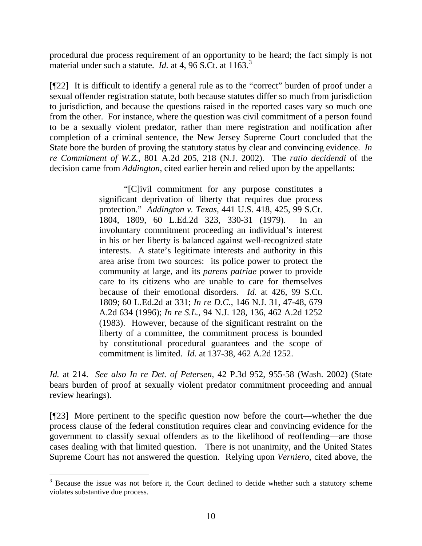procedural due process requirement of an opportunity to be heard; the fact simply is not material under such a statute. *Id.* at 4, 96 S.Ct. at 116[3](#page-11-0).<sup>3</sup>

[¶22] It is difficult to identify a general rule as to the "correct" burden of proof under a sexual offender registration statute, both because statutes differ so much from jurisdiction to jurisdiction, and because the questions raised in the reported cases vary so much one from the other. For instance, where the question was civil commitment of a person found to be a sexually violent predator, rather than mere registration and notification after completion of a criminal sentence, the New Jersey Supreme Court concluded that the State bore the burden of proving the statutory status by clear and convincing evidence. *In re Commitment of W.Z.,* 801 A.2d 205, 218 (N.J. 2002). The *ratio decidendi* of the decision came from *Addington,* cited earlier herein and relied upon by the appellants:

> "[C]ivil commitment for any purpose constitutes a significant deprivation of liberty that requires due process protection." *Addington v. Texas,* 441 U.S. 418, 425, 99 S.Ct. 1804, 1809, 60 L.Ed.2d 323, 330-31 (1979). In an involuntary commitment proceeding an individual's interest in his or her liberty is balanced against well-recognized state interests. A state's legitimate interests and authority in this area arise from two sources: its police power to protect the community at large, and its *parens patriae* power to provide care to its citizens who are unable to care for themselves because of their emotional disorders. *Id.* at 426, 99 S.Ct. 1809; 60 L.Ed.2d at 331; *In re D.C.,* 146 N.J. 31, 47-48, 679 A.2d 634 (1996); *In re S.L.,* 94 N.J. 128, 136, 462 A.2d 1252 (1983). However, because of the significant restraint on the liberty of a committee, the commitment process is bounded by constitutional procedural guarantees and the scope of commitment is limited. *Id.* at 137-38, 462 A.2d 1252.

*Id.* at 214. *See also In re Det. of Petersen,* 42 P.3d 952, 955-58 (Wash. 2002) (State bears burden of proof at sexually violent predator commitment proceeding and annual review hearings).

[¶23] More pertinent to the specific question now before the court—whether the due process clause of the federal constitution requires clear and convincing evidence for the government to classify sexual offenders as to the likelihood of reoffending—are those cases dealing with that limited question. There is not unanimity, and the United States Supreme Court has not answered the question. Relying upon *Verniero,* cited above, the

 $\overline{a}$ 

<span id="page-11-0"></span> $3$  Because the issue was not before it, the Court declined to decide whether such a statutory scheme violates substantive due process.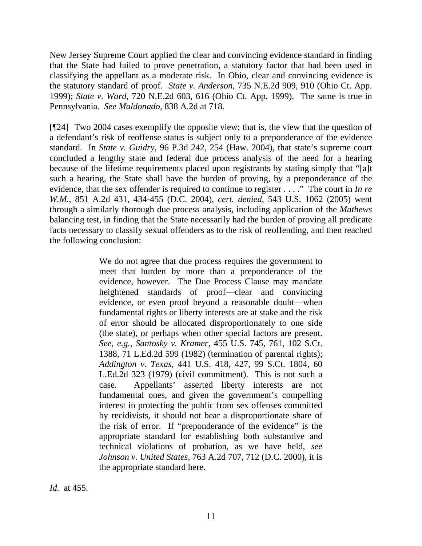New Jersey Supreme Court applied the clear and convincing evidence standard in finding that the State had failed to prove penetration, a statutory factor that had been used in classifying the appellant as a moderate risk. In Ohio, clear and convincing evidence is the statutory standard of proof. *State v. Anderson,* 735 N.E.2d 909, 910 (Ohio Ct. App. 1999); *State v. Ward,* 720 N.E.2d 603, 616 (Ohio Ct. App. 1999). The same is true in Pennsylvania. *See Maldonado,* 838 A.2d at 718.

[¶24] Two 2004 cases exemplify the opposite view; that is, the view that the question of a defendant's risk of reoffense status is subject only to a preponderance of the evidence standard. In *State v. Guidry,* 96 P.3d 242, 254 (Haw. 2004), that state's supreme court concluded a lengthy state and federal due process analysis of the need for a hearing because of the lifetime requirements placed upon registrants by stating simply that "[a]t such a hearing, the State shall have the burden of proving, by a preponderance of the evidence, that the sex offender is required to continue to register . . . ." The court in *In re W.M.,* 851 A.2d 431, 434-455 (D.C. 2004), *cert. denied,* 543 U.S. 1062 (2005) went through a similarly thorough due process analysis, including application of the *Mathews*  balancing test, in finding that the State necessarily had the burden of proving all predicate facts necessary to classify sexual offenders as to the risk of reoffending, and then reached the following conclusion:

> We do not agree that due process requires the government to meet that burden by more than a preponderance of the evidence, however. The Due Process Clause may mandate heightened standards of proof—clear and convincing evidence, or even proof beyond a reasonable doubt—when fundamental rights or liberty interests are at stake and the risk of error should be allocated disproportionately to one side (the state), or perhaps when other special factors are present. *See, e.g., Santosky v. Kramer,* 455 U.S. 745, 761, 102 S.Ct. 1388, 71 L.Ed.2d 599 (1982) (termination of parental rights); *Addington v. Texas,* 441 U.S. 418, 427, 99 S.Ct. 1804, 60 L.Ed.2d 323 (1979) (civil commitment). This is not such a case. Appellants' asserted liberty interests are not fundamental ones, and given the government's compelling interest in protecting the public from sex offenses committed by recidivists, it should not bear a disproportionate share of the risk of error. If "preponderance of the evidence" is the appropriate standard for establishing both substantive and technical violations of probation, as we have held, *see Johnson v. United States,* 763 A.2d 707, 712 (D.C. 2000), it is the appropriate standard here.

*Id.* at 455.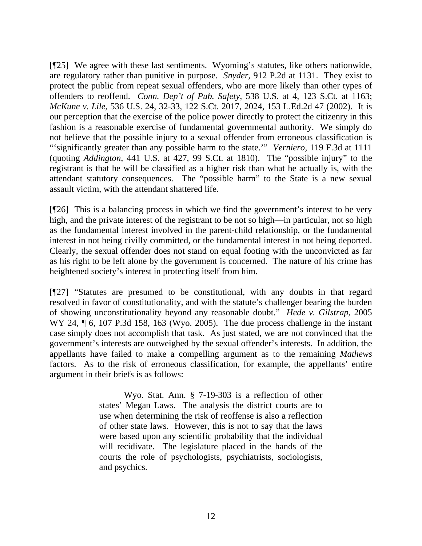[¶25] We agree with these last sentiments. Wyoming's statutes, like others nationwide, are regulatory rather than punitive in purpose. *Snyder,* 912 P.2d at 1131. They exist to protect the public from repeat sexual offenders, who are more likely than other types of offenders to reoffend. *Conn. Dep't of Pub. Safety,* 538 U.S. at 4, 123 S.Ct. at 1163; *McKune v. Lile,* 536 U.S. 24, 32-33, 122 S.Ct. 2017, 2024, 153 L.Ed.2d 47 (2002). It is our perception that the exercise of the police power directly to protect the citizenry in this fashion is a reasonable exercise of fundamental governmental authority. We simply do not believe that the possible injury to a sexual offender from erroneous classification is "'significantly greater than any possible harm to the state.'" *Verniero,* 119 F.3d at 1111 (quoting *Addington,* 441 U.S. at 427, 99 S.Ct. at 1810). The "possible injury" to the registrant is that he will be classified as a higher risk than what he actually is, with the attendant statutory consequences. The "possible harm" to the State is a new sexual assault victim, with the attendant shattered life.

[¶26] This is a balancing process in which we find the government's interest to be very high, and the private interest of the registrant to be not so high—in particular, not so high as the fundamental interest involved in the parent-child relationship, or the fundamental interest in not being civilly committed, or the fundamental interest in not being deported. Clearly, the sexual offender does not stand on equal footing with the unconvicted as far as his right to be left alone by the government is concerned. The nature of his crime has heightened society's interest in protecting itself from him.

[¶27] "Statutes are presumed to be constitutional, with any doubts in that regard resolved in favor of constitutionality, and with the statute's challenger bearing the burden of showing unconstitutionality beyond any reasonable doubt." *Hede v. Gilstrap,* 2005 WY 24,  $\P$  6, 107 P.3d 158, 163 (Wyo. 2005). The due process challenge in the instant case simply does not accomplish that task. As just stated, we are not convinced that the government's interests are outweighed by the sexual offender's interests. In addition, the appellants have failed to make a compelling argument as to the remaining *Mathews*  factors. As to the risk of erroneous classification, for example, the appellants' entire argument in their briefs is as follows:

> Wyo. Stat. Ann. § 7-19-303 is a reflection of other states' Megan Laws. The analysis the district courts are to use when determining the risk of reoffense is also a reflection of other state laws. However, this is not to say that the laws were based upon any scientific probability that the individual will recidivate. The legislature placed in the hands of the courts the role of psychologists, psychiatrists, sociologists, and psychics.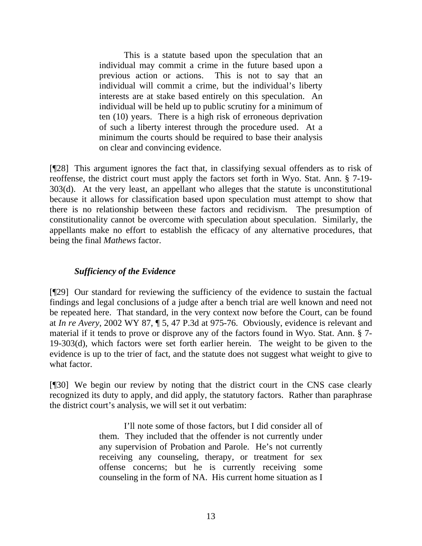This is a statute based upon the speculation that an individual may commit a crime in the future based upon a previous action or actions. This is not to say that an individual will commit a crime, but the individual's liberty interests are at stake based entirely on this speculation. An individual will be held up to public scrutiny for a minimum of ten (10) years. There is a high risk of erroneous deprivation of such a liberty interest through the procedure used. At a minimum the courts should be required to base their analysis on clear and convincing evidence.

[¶28] This argument ignores the fact that, in classifying sexual offenders as to risk of reoffense, the district court must apply the factors set forth in Wyo. Stat. Ann. § 7-19- 303(d). At the very least, an appellant who alleges that the statute is unconstitutional because it allows for classification based upon speculation must attempt to show that there is no relationship between these factors and recidivism. The presumption of constitutionality cannot be overcome with speculation about speculation. Similarly, the appellants make no effort to establish the efficacy of any alternative procedures, that being the final *Mathews* factor.

#### *Sufficiency of the Evidence*

[¶29] Our standard for reviewing the sufficiency of the evidence to sustain the factual findings and legal conclusions of a judge after a bench trial are well known and need not be repeated here. That standard, in the very context now before the Court, can be found at *In re Avery,* 2002 WY 87, ¶ 5, 47 P.3d at 975-76. Obviously, evidence is relevant and material if it tends to prove or disprove any of the factors found in Wyo. Stat. Ann. § 7- 19-303(d), which factors were set forth earlier herein. The weight to be given to the evidence is up to the trier of fact, and the statute does not suggest what weight to give to what factor.

[¶30] We begin our review by noting that the district court in the CNS case clearly recognized its duty to apply, and did apply, the statutory factors. Rather than paraphrase the district court's analysis, we will set it out verbatim:

> I'll note some of those factors, but I did consider all of them. They included that the offender is not currently under any supervision of Probation and Parole. He's not currently receiving any counseling, therapy, or treatment for sex offense concerns; but he is currently receiving some counseling in the form of NA. His current home situation as I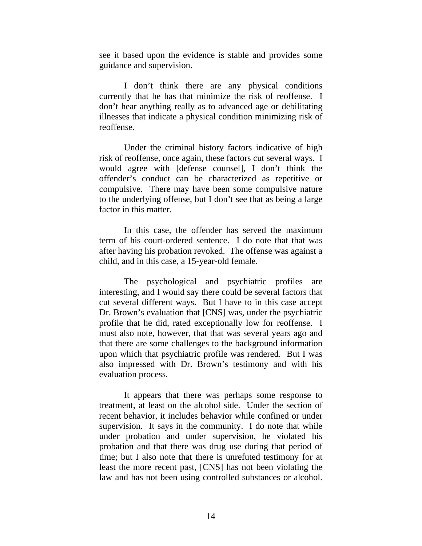see it based upon the evidence is stable and provides some guidance and supervision.

 I don't think there are any physical conditions currently that he has that minimize the risk of reoffense. I don't hear anything really as to advanced age or debilitating illnesses that indicate a physical condition minimizing risk of reoffense.

 Under the criminal history factors indicative of high risk of reoffense, once again, these factors cut several ways. I would agree with [defense counsel], I don't think the offender's conduct can be characterized as repetitive or compulsive. There may have been some compulsive nature to the underlying offense, but I don't see that as being a large factor in this matter.

 In this case, the offender has served the maximum term of his court-ordered sentence. I do note that that was after having his probation revoked. The offense was against a child, and in this case, a 15-year-old female.

 The psychological and psychiatric profiles are interesting, and I would say there could be several factors that cut several different ways. But I have to in this case accept Dr. Brown's evaluation that [CNS] was, under the psychiatric profile that he did, rated exceptionally low for reoffense. I must also note, however, that that was several years ago and that there are some challenges to the background information upon which that psychiatric profile was rendered. But I was also impressed with Dr. Brown's testimony and with his evaluation process.

 It appears that there was perhaps some response to treatment, at least on the alcohol side. Under the section of recent behavior, it includes behavior while confined or under supervision. It says in the community. I do note that while under probation and under supervision, he violated his probation and that there was drug use during that period of time; but I also note that there is unrefuted testimony for at least the more recent past, [CNS] has not been violating the law and has not been using controlled substances or alcohol.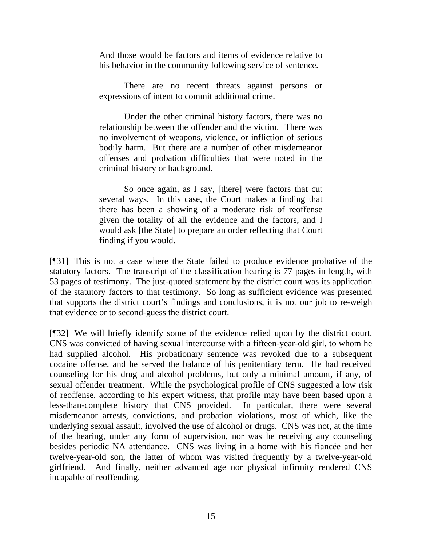And those would be factors and items of evidence relative to his behavior in the community following service of sentence.

 There are no recent threats against persons or expressions of intent to commit additional crime.

 Under the other criminal history factors, there was no relationship between the offender and the victim. There was no involvement of weapons, violence, or infliction of serious bodily harm. But there are a number of other misdemeanor offenses and probation difficulties that were noted in the criminal history or background.

 So once again, as I say, [there] were factors that cut several ways. In this case, the Court makes a finding that there has been a showing of a moderate risk of reoffense given the totality of all the evidence and the factors, and I would ask [the State] to prepare an order reflecting that Court finding if you would.

[¶31] This is not a case where the State failed to produce evidence probative of the statutory factors. The transcript of the classification hearing is 77 pages in length, with 53 pages of testimony. The just-quoted statement by the district court was its application of the statutory factors to that testimony. So long as sufficient evidence was presented that supports the district court's findings and conclusions, it is not our job to re-weigh that evidence or to second-guess the district court.

[¶32] We will briefly identify some of the evidence relied upon by the district court. CNS was convicted of having sexual intercourse with a fifteen-year-old girl, to whom he had supplied alcohol. His probationary sentence was revoked due to a subsequent cocaine offense, and he served the balance of his penitentiary term. He had received counseling for his drug and alcohol problems, but only a minimal amount, if any, of sexual offender treatment. While the psychological profile of CNS suggested a low risk of reoffense, according to his expert witness, that profile may have been based upon a less-than-complete history that CNS provided. In particular, there were several misdemeanor arrests, convictions, and probation violations, most of which, like the underlying sexual assault, involved the use of alcohol or drugs. CNS was not, at the time of the hearing, under any form of supervision, nor was he receiving any counseling besides periodic NA attendance. CNS was living in a home with his fiancée and her twelve-year-old son, the latter of whom was visited frequently by a twelve-year-old girlfriend. And finally, neither advanced age nor physical infirmity rendered CNS incapable of reoffending.